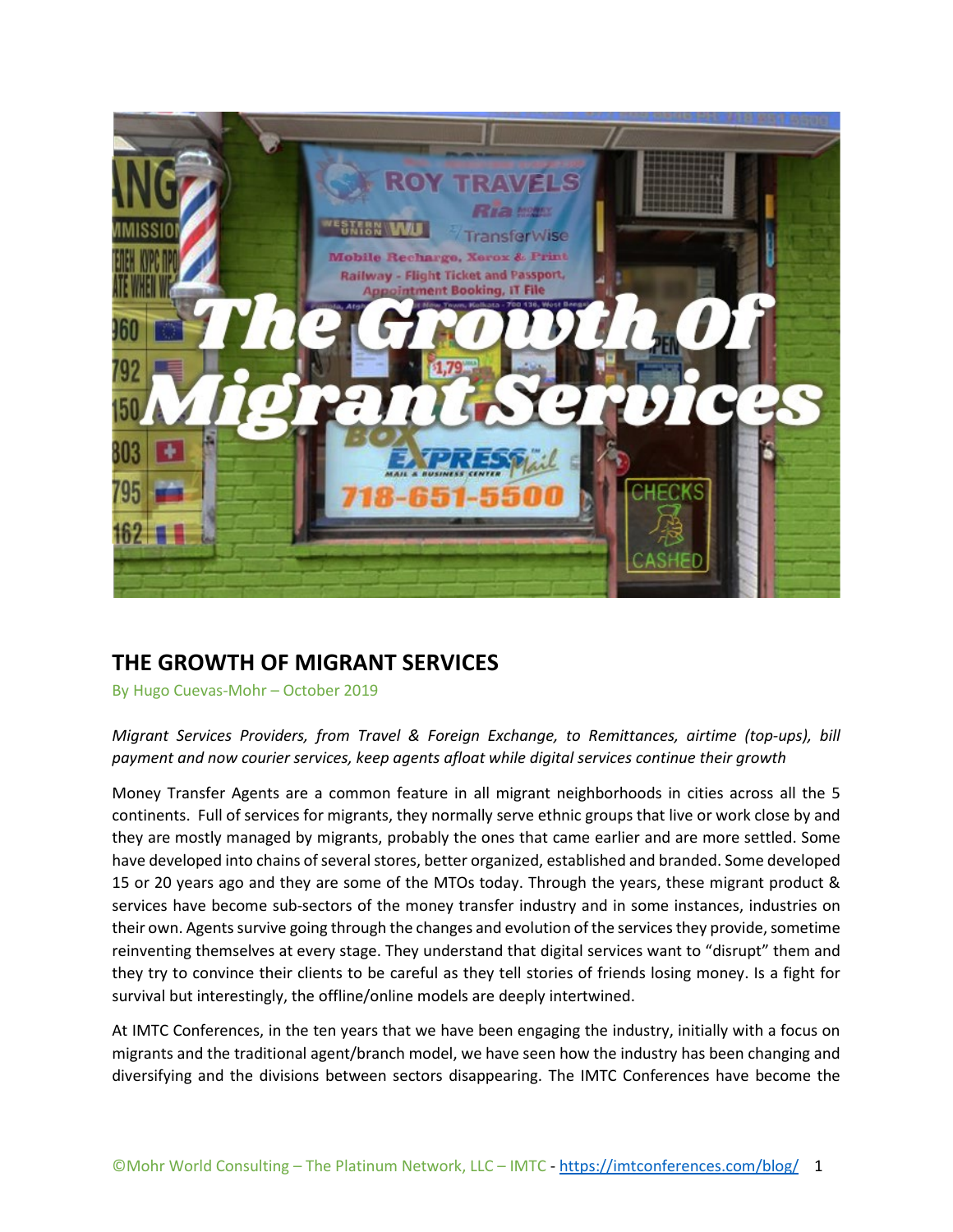

# **THE GROWTH OF MIGRANT SERVICES**

By Hugo Cuevas-Mohr – October 2019

*Migrant Services Providers, from Travel & Foreign Exchange, to Remittances, airtime (top-ups), bill payment and now courier services, keep agents afloat while digital services continue their growth*

Money Transfer Agents are a common feature in all migrant neighborhoods in cities across all the 5 continents. Full of services for migrants, they normally serve ethnic groups that live or work close by and they are mostly managed by migrants, probably the ones that came earlier and are more settled. Some have developed into chains of several stores, better organized, established and branded. Some developed 15 or 20 years ago and they are some of the MTOs today. Through the years, these migrant product & services have become sub-sectors of the money transfer industry and in some instances, industries on their own. Agents survive going through the changes and evolution of the services they provide, sometime reinventing themselves at every stage. They understand that digital services want to "disrupt" them and they try to convince their clients to be careful as they tell stories of friends losing money. Is a fight for survival but interestingly, the offline/online models are deeply intertwined.

At IMTC Conferences, in the ten years that we have been engaging the industry, initially with a focus on migrants and the traditional agent/branch model, we have seen how the industry has been changing and diversifying and the divisions between sectors disappearing. The IMTC Conferences have become the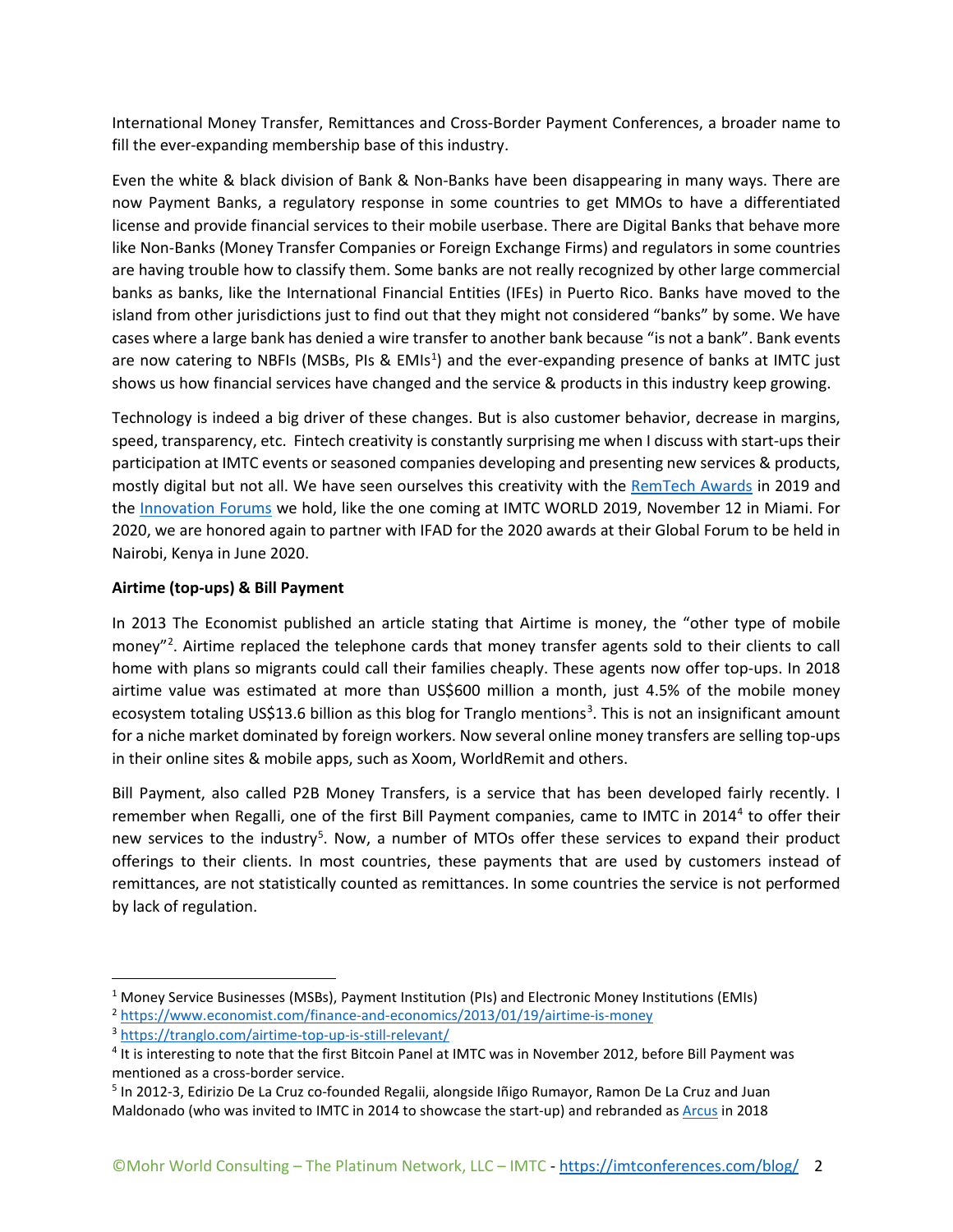International Money Transfer, Remittances and Cross-Border Payment Conferences, a broader name to fill the ever-expanding membership base of this industry.

Even the white & black division of Bank & Non-Banks have been disappearing in many ways. There are now Payment Banks, a regulatory response in some countries to get MMOs to have a differentiated license and provide financial services to their mobile userbase. There are Digital Banks that behave more like Non-Banks (Money Transfer Companies or Foreign Exchange Firms) and regulators in some countries are having trouble how to classify them. Some banks are not really recognized by other large commercial banks as banks, like the International Financial Entities (IFEs) in Puerto Rico. Banks have moved to the island from other jurisdictions just to find out that they might not considered "banks" by some. We have cases where a large bank has denied a wire transfer to another bank because "is not a bank". Bank events are now catering to NBFIs (MSBs, PIs & EMIs<sup>[1](#page-1-0)</sup>) and the ever-expanding presence of banks at IMTC just shows us how financial services have changed and the service & products in this industry keep growing.

Technology is indeed a big driver of these changes. But is also customer behavior, decrease in margins, speed, transparency, etc. Fintech creativity is constantly surprising me when I discuss with start-ups their participation at IMTC events or seasoned companies developing and presenting new services & products, mostly digital but not all. We have seen ourselves this creativity with the [RemTech Awards](https://remtech.org/) in 2019 and the [Innovation Forums](https://imtconferences.com/imtc-world-2019-courses/) we hold, like the one coming at IMTC WORLD 2019, November 12 in Miami. For 2020, we are honored again to partner with IFAD for the 2020 awards at their Global Forum to be held in Nairobi, Kenya in June 2020.

## **Airtime (top-ups) & Bill Payment**

In 2013 The Economist published an article stating that Airtime is money, the "other type of mobile money"<sup>[2](#page-1-1)</sup>. Airtime replaced the telephone cards that money transfer agents sold to their clients to call home with plans so migrants could call their families cheaply. These agents now offer top-ups. In 2018 airtime value was estimated at more than US\$600 million a month, just 4.5% of the mobile money ecosystem totaling US\$1[3](#page-1-2).6 billion as this blog for Tranglo mentions<sup>3</sup>. This is not an insignificant amount for a niche market dominated by foreign workers. Now several online money transfers are selling top-ups in their online sites & mobile apps, such as Xoom, WorldRemit and others.

Bill Payment, also called P2B Money Transfers, is a service that has been developed fairly recently. I remember when Regalli, one of the first Bill Payment companies, came to IMTC in 2014[4](#page-1-3) to offer their new services to the industry<sup>[5](#page-1-4)</sup>. Now, a number of MTOs offer these services to expand their product offerings to their clients. In most countries, these payments that are used by customers instead of remittances, are not statistically counted as remittances. In some countries the service is not performed by lack of regulation.

<span id="page-1-0"></span><sup>&</sup>lt;sup>1</sup> Money Service Businesses (MSBs), Payment Institution (PIs) and Electronic Money Institutions (EMIs)

<span id="page-1-1"></span><sup>2</sup> <https://www.economist.com/finance-and-economics/2013/01/19/airtime-is-money>

<span id="page-1-2"></span><sup>3</sup> <https://tranglo.com/airtime-top-up-is-still-relevant/>

<span id="page-1-3"></span><sup>4</sup> It is interesting to note that the first Bitcoin Panel at IMTC was in November 2012, before Bill Payment was mentioned as a cross-border service.

<span id="page-1-4"></span><sup>5</sup> In 2012-3, Edirizio De La Cruz co-founded Regalii, alongside Iñigo Rumayor, Ramon De La Cruz and Juan Maldonado (who was invited to IMTC in 2014 to showcase the start-up) and rebranded as [Arcus](https://www.arcusfi.com/) in 2018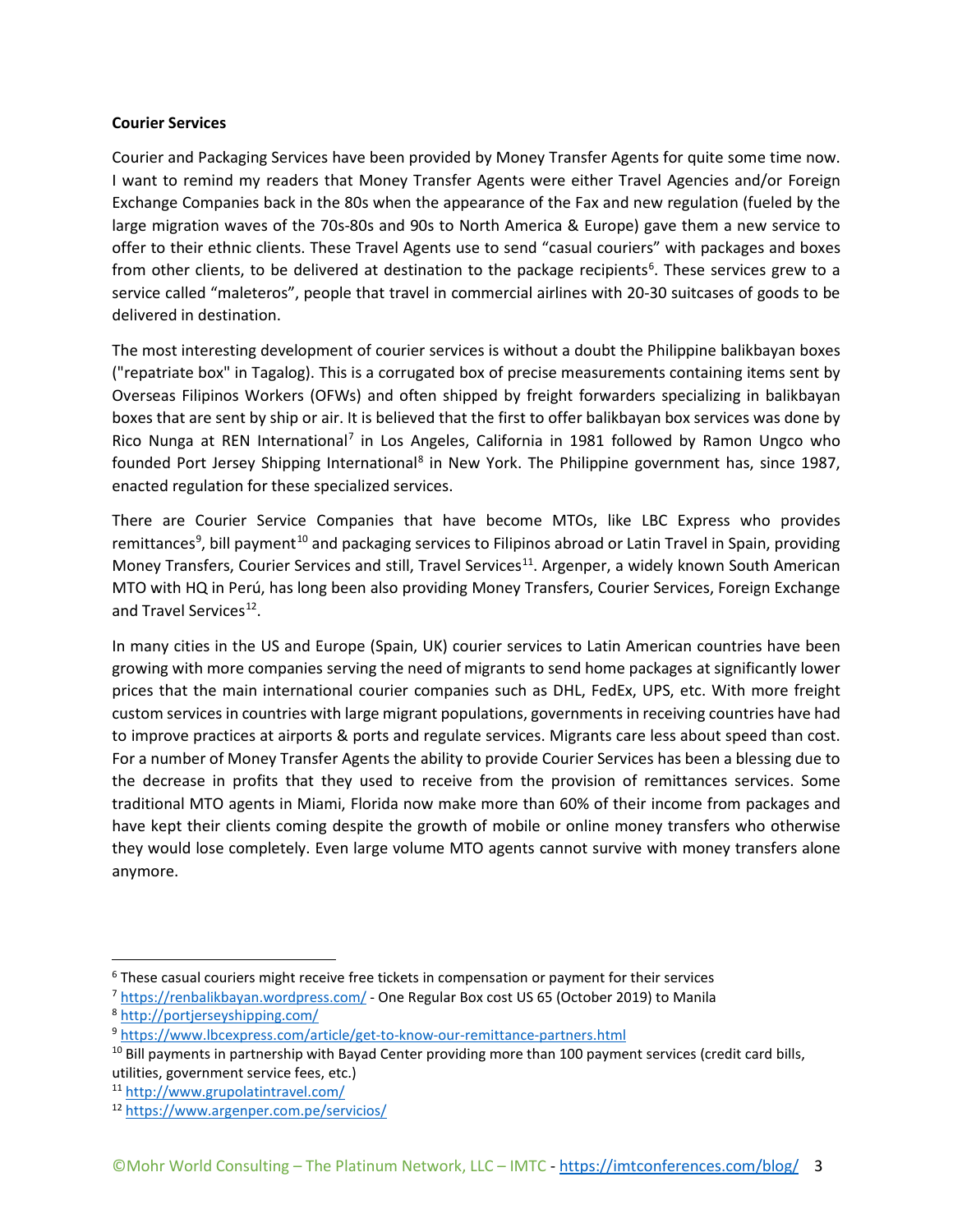### **Courier Services**

Courier and Packaging Services have been provided by Money Transfer Agents for quite some time now. I want to remind my readers that Money Transfer Agents were either Travel Agencies and/or Foreign Exchange Companies back in the 80s when the appearance of the Fax and new regulation (fueled by the large migration waves of the 70s-80s and 90s to North America & Europe) gave them a new service to offer to their ethnic clients. These Travel Agents use to send "casual couriers" with packages and boxes from other clients, to be delivered at destination to the package recipients<sup>[6](#page-2-0)</sup>. These services grew to a service called "maleteros", people that travel in commercial airlines with 20-30 suitcases of goods to be delivered in destination.

The most interesting development of courier services is without a doubt the Philippine balikbayan boxes ("repatriate box" in Tagalog). This is a corrugated box of precise measurements containing items sent by Overseas Filipinos Workers (OFWs) and often shipped by freight forwarders specializing in balikbayan boxes that are sent by ship or air. It is believed that the first to offer balikbayan box services was done by Rico Nunga at REN International<sup>[7](#page-2-1)</sup> in Los Angeles, California in 1981 followed by Ramon Ungco who founded Port Jersey Shipping International<sup>[8](#page-2-2)</sup> in New York. The Philippine government has, since 1987, enacted regulation for these specialized services.

There are Courier Service Companies that have become MTOs, like LBC Express who provides remittances<sup>[9](#page-2-3)</sup>, bill payment<sup>[10](#page-2-4)</sup> and packaging services to Filipinos abroad or Latin Travel in Spain, providing Money Transfers, Courier Services and still, Travel Services<sup>11</sup>. Argenper, a widely known South American MTO with HQ in Perú, has long been also providing Money Transfers, Courier Services, Foreign Exchange and Travel Services<sup>[12](#page-2-6)</sup>.

In many cities in the US and Europe (Spain, UK) courier services to Latin American countries have been growing with more companies serving the need of migrants to send home packages at significantly lower prices that the main international courier companies such as DHL, FedEx, UPS, etc. With more freight custom services in countries with large migrant populations, governments in receiving countries have had to improve practices at airports & ports and regulate services. Migrants care less about speed than cost. For a number of Money Transfer Agents the ability to provide Courier Services has been a blessing due to the decrease in profits that they used to receive from the provision of remittances services. Some traditional MTO agents in Miami, Florida now make more than 60% of their income from packages and have kept their clients coming despite the growth of mobile or online money transfers who otherwise they would lose completely. Even large volume MTO agents cannot survive with money transfers alone anymore.

<span id="page-2-0"></span><sup>&</sup>lt;sup>6</sup> These casual couriers might receive free tickets in compensation or payment for their services

<span id="page-2-1"></span><sup>7</sup> <https://renbalikbayan.wordpress.com/> - One Regular Box cost US 65 (October 2019) to Manila

<span id="page-2-2"></span><sup>8</sup> <http://portjerseyshipping.com/>

<span id="page-2-3"></span><sup>9</sup> <https://www.lbcexpress.com/article/get-to-know-our-remittance-partners.html>

<span id="page-2-4"></span><sup>&</sup>lt;sup>10</sup> Bill payments in partnership with Bayad Center providing more than 100 payment services (credit card bills, utilities, government service fees, etc.)

<span id="page-2-5"></span><sup>11</sup> <http://www.grupolatintravel.com/>

<span id="page-2-6"></span><sup>12</sup> <https://www.argenper.com.pe/servicios/>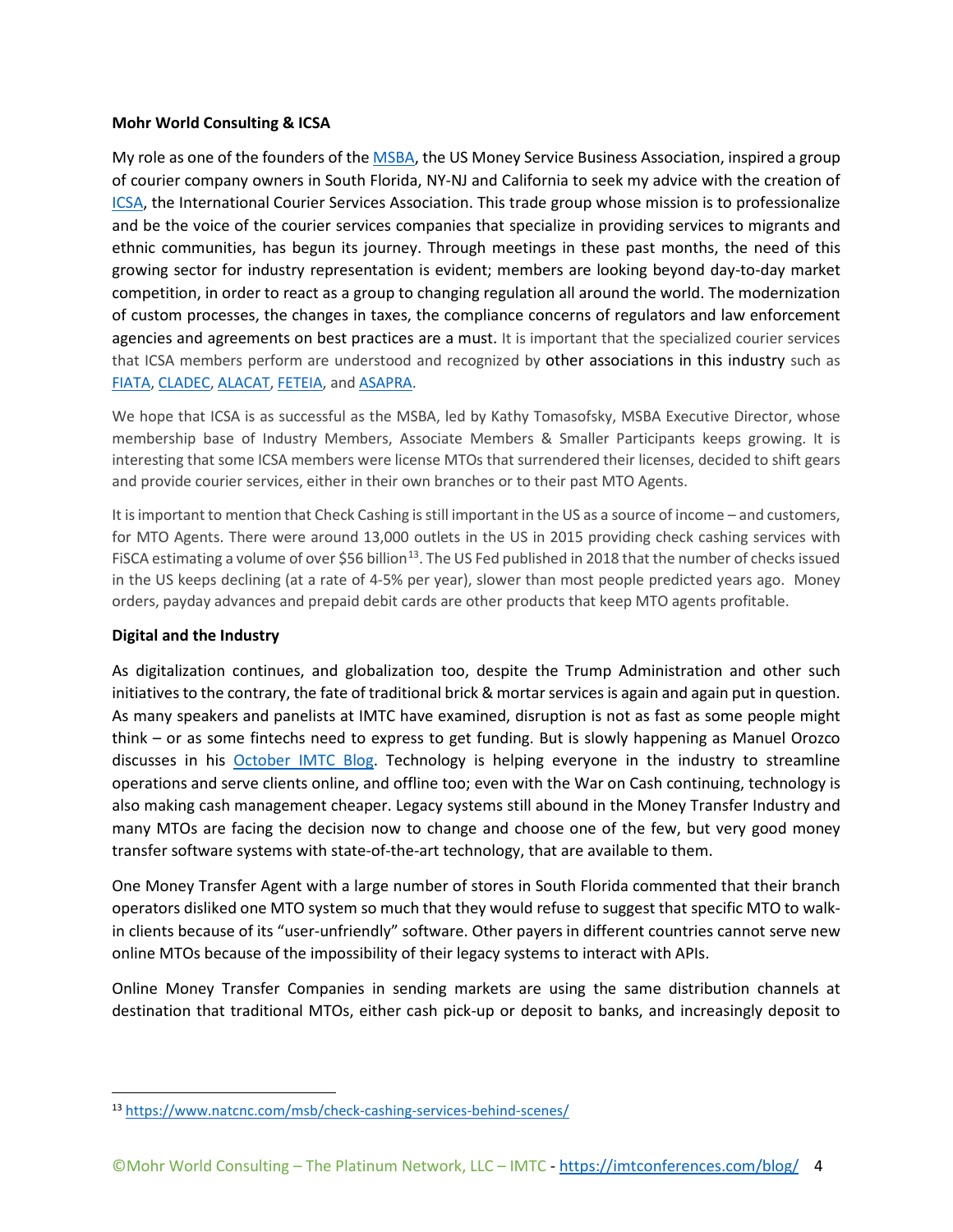#### **Mohr World Consulting & ICSA**

My role as one of the founders of th[e MSBA,](https://www.msbassociation.org/) the US Money Service Business Association, inspired a group of courier company owners in South Florida, NY-NJ and California to seek my advice with the creation of [ICSA,](https://www.linkedin.com/company/international-courier-services-association-icsa/) the International Courier Services Association. This trade group whose mission is to professionalize and be the voice of the courier services companies that specialize in providing services to migrants and ethnic communities, has begun its journey. Through meetings in these past months, the need of this growing sector for industry representation is evident; members are looking beyond day-to-day market competition, in order to react as a group to changing regulation all around the world. The modernization of custom processes, the changes in taxes, the compliance concerns of regulators and law enforcement agencies and agreements on best practices are a must. It is important that the specialized courier services that ICSA members perform are understood and recognized by other associations in this industry such as [FIATA,](https://fiata.com/) [CLADEC,](http://www.cladec.org/) [ALACAT,](https://alacat.org/) [FETEIA,](https://www.feteia.org/) and [ASAPRA.](https://asapra.com/)

We hope that ICSA is as successful as the MSBA, led by Kathy Tomasofsky, MSBA Executive Director, whose membership base of Industry Members, Associate Members & Smaller Participants keeps growing. It is interesting that some ICSA members were license MTOs that surrendered their licenses, decided to shift gears and provide courier services, either in their own branches or to their past MTO Agents.

It is important to mention that Check Cashing is still important in the US as a source of income – and customers, for MTO Agents. There were around 13,000 outlets in the US in 2015 providing check cashing services with FISCA estimating a volume of over \$56 billion<sup>[13](#page-3-0)</sup>. The US Fed published in 2018 that the number of checks issued in the US keeps declining (at a rate of 4-5% per year), slower than most people predicted years ago. Money orders, payday advances and prepaid debit cards are other products that keep MTO agents profitable.

## **Digital and the Industry**

As digitalization continues, and globalization too, despite the Trump Administration and other such initiativesto the contrary, the fate of traditional brick & mortar services is again and again put in question. As many speakers and panelists at IMTC have examined, disruption is not as fast as some people might think – or as some fintechs need to express to get funding. But is slowly happening as Manuel Orozco discusses in his [October IMTC Blog.](http://bit.ly/35SpwOY) Technology is helping everyone in the industry to streamline operations and serve clients online, and offline too; even with the War on Cash continuing, technology is also making cash management cheaper. Legacy systems still abound in the Money Transfer Industry and many MTOs are facing the decision now to change and choose one of the few, but very good money transfer software systems with state-of-the-art technology, that are available to them.

One Money Transfer Agent with a large number of stores in South Florida commented that their branch operators disliked one MTO system so much that they would refuse to suggest that specific MTO to walkin clients because of its "user-unfriendly" software. Other payers in different countries cannot serve new online MTOs because of the impossibility of their legacy systems to interact with APIs.

Online Money Transfer Companies in sending markets are using the same distribution channels at destination that traditional MTOs, either cash pick-up or deposit to banks, and increasingly deposit to

<span id="page-3-0"></span><sup>13</sup> <https://www.natcnc.com/msb/check-cashing-services-behind-scenes/>